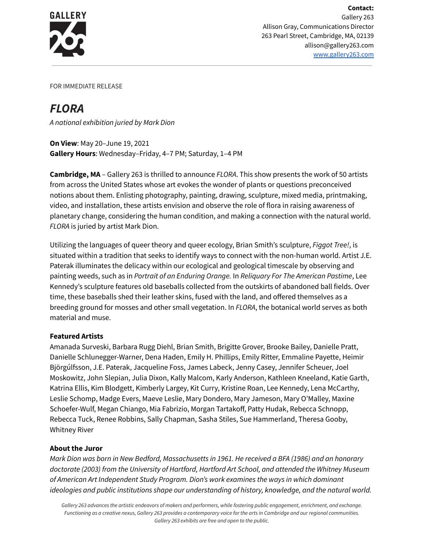

FOR IMMEDIATE RELEASE

## *FLORA*

*A national exhibition juried by Mark Dion*

**On View**: May 20–June 19, 2021 **Gallery Hours**: Wednesday–Friday, 4–7 PM; Saturday, 1–4 PM

**Cambridge, MA** – Gallery 263 is thrilled to announce *FLORA*. This show presents the work of 50 artists from across the United States whose art evokes the wonder of plants or questions preconceived notions about them. Enlisting photography, painting, drawing, sculpture, mixed media, printmaking, video, and installation, these artists envision and observe the role of flora in raising awareness of planetary change, considering the human condition, and making a connection with the natural world. *FLORA* is juried by artist Mark Dion.

Utilizing the languages of queer theory and queer ecology, Brian Smith's sculpture, *Figgot Tree!*, is situated within a tradition that seeks to identify ways to connect with the non-human world. Artist J.E. Paterak illuminates the delicacy within our ecological and geological timescale by observing and painting weeds, such as in *Portrait of an Enduring Orange.* In *Reliquary For The American Pastime*, Lee Kennedy's sculpture features old baseballs collected from the outskirts of abandoned ball fields. Over time, these baseballs shed their leather skins, fused with the land, and offered themselves as a breeding ground for mosses and other small vegetation. In *FLORA*, the botanical world serves as both material and muse.

## **Featured Artists**

Amanada Surveski, Barbara Rugg Diehl, Brian Smith, Brigitte Grover, Brooke Bailey, Danielle Pratt, Danielle Schlunegger-Warner, Dena Haden, Emily H. Phillips, Emily Ritter, Emmaline Payette, Heimir Björgúlfsson, J.E. Paterak, Jacqueline Foss, James Labeck, Jenny Casey, Jennifer Scheuer, Joel Moskowitz, John Slepian, Julia Dixon, Kally Malcom, Karly Anderson, Kathleen Kneeland, Katie Garth, Katrina Ellis, Kim Blodgett, Kimberly Largey, Kit Curry, Kristine Roan, Lee Kennedy, Lena McCarthy, Leslie Schomp, Madge Evers, Maeve Leslie, Mary Dondero, Mary Jameson, Mary O'Malley, Maxine Schoefer-Wulf, Megan Chiango, Mia Fabrizio, Morgan Tartakoff, Patty Hudak, Rebecca Schnopp, Rebecca Tuck, Renee Robbins, Sally Chapman, Sasha Stiles, Sue Hammerland, Theresa Gooby, Whitney River

## **About the Juror**

*Mark Dion was born in New Bedford, Massachusetts in 1961. He received a BFA (1986) and an honorary doctorate (2003) from the University of Hartford, Hartford Art School, and attended the Whitney Museum of American Art Independent Study Program. Dion's work examines the ways in which dominant ideologies and public institutions shape our understanding of history, knowledge, and the natural world.*

Gallery 263 advances the artistic endeavors of makers and performers, while fostering public engagement, enrichment, and exchange. Functioning as a creative nexus, Gallery 263 provides a contemporary voice for the arts in Cambridge and our regional communities. *Gallery 263 exhibits are free and open to the public.*